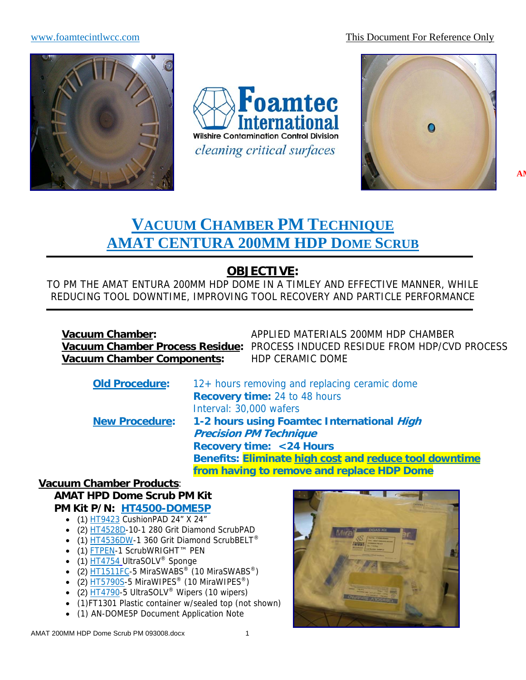#### www.foamtecintlwcc.com This Document For Reference Only



**Foamtec** ternational **Wilshire Contamination Control Division** cleaning critical surfaces



# **VACUUM CHAMBER PM TECHNIQUE AMAT CENTURA 200MM HDP DOME SCRUB**

# **OBJECTIVE:**

TO PM THE AMAT ENTURA 200MM HDP DOME IN A TIMLEY AND EFFECTIVE MANNER, WHILE REDUCING TOOL DOWNTIME, IMPROVING TOOL RECOVERY AND PARTICLE PERFORMANCE

**Vacuum Chamber Components:** HDP CERAMIC DOME

**Vacuum Chamber:** APPLIED MATERIALS 200MM HDP CHAMBER **Vacuum Chamber Process Residue:** PROCESS INDUCED RESIDUE FROM HDP/CVD PROCESS

| <b>Old Procedure:</b> | 12+ hours removing and replacing ceramic dome          |
|-----------------------|--------------------------------------------------------|
|                       | <b>Recovery time: 24 to 48 hours</b>                   |
|                       | Interval: 30,000 wafers                                |
| <b>New Procedure:</b> | 1-2 hours using Foamtec International High             |
|                       | <b>Precision PM Technique</b>                          |
|                       | <b>Recovery time: &lt;24 Hours</b>                     |
|                       | Benefits: Eliminate high cost and reduce tool downtime |
|                       | from having to remove and replace HDP Dome             |

#### **Vacuum Chamber Products**: **AMAT HPD Dome Scrub PM Kit**

**PM Kit P/N: HT4500-DOME5P**

- (1) HT9423 CushionPAD 24" X 24"
- (2) HT4528D-10-1 280 Grit Diamond ScrubPAD
- (1) HT4536DW-1 360 Grit Diamond ScrubBELT<sup>®</sup>
- (1) FTPEN-1 ScrubWRIGHT™ PEN
- (1)  $HT4754$  UltraSOLV<sup>®</sup> Sponge
- $(2)$   $\overline{HT1511FC}$ -5 MiraSWABS<sup>®</sup> (10 MiraSWABS<sup>®</sup>)
- (2) HT5790S-5 MiraWIPES<sup>®</sup> (10 MiraWIPES<sup>®</sup>)
- (2)  $\overline{HT4790}$ -5 UltraSOLV<sup>®</sup> Wipers (10 wipers)
- (1)FT1301 Plastic container w/sealed top (not shown)
- (1) AN-DOME5P Document Application Note

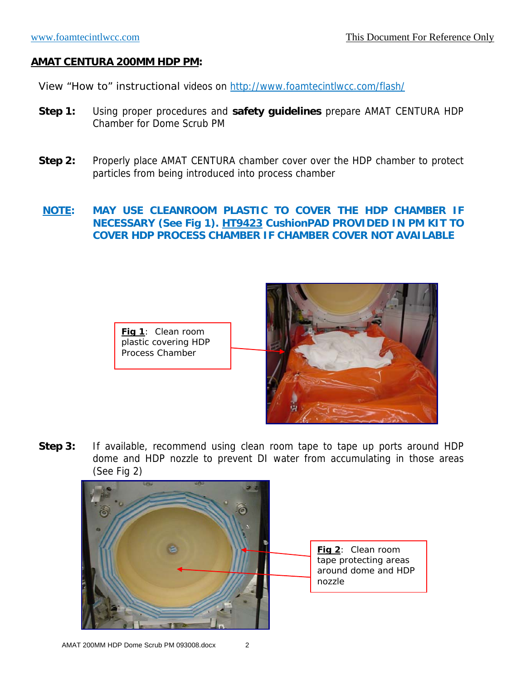#### **AMAT CENTURA 200MM HDP PM:**

View "How to" instructional videos on http://www.foamtecintlwcc.com/flash/

- **Step 1:** Using proper procedures and **safety guidelines** prepare AMAT CENTURA HDP Chamber for Dome Scrub PM
- **Step 2:** Properly place AMAT CENTURA chamber cover over the HDP chamber to protect particles from being introduced into process chamber

#### **NOTE: MAY USE CLEANROOM PLASTIC TO COVER THE HDP CHAMBER IF NECESSARY (See Fig 1). HT9423 CushionPAD PROVIDED IN PM KIT TO COVER HDP PROCESS CHAMBER IF CHAMBER COVER NOT AVAILABLE**

**Fig 1**: Clean room plastic covering HDP Process Chamber



**Step 3:** If available, recommend using clean room tape to tape up ports around HDP dome and HDP nozzle to prevent DI water from accumulating in those areas (See Fig 2)

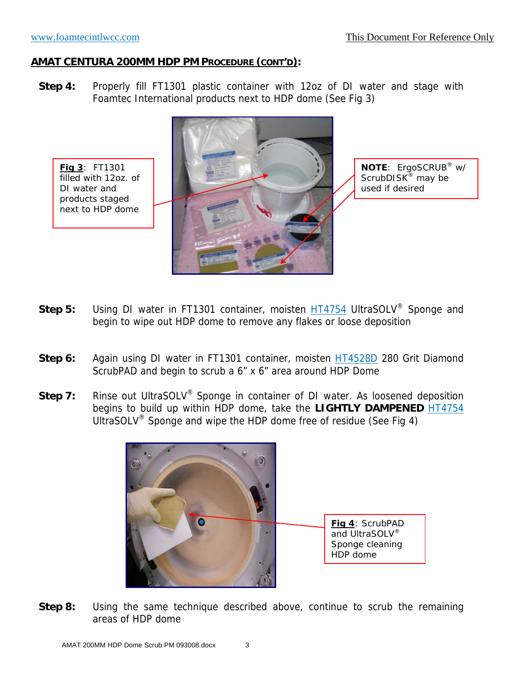**Fig 3**: FT1301 filled with 12oz. of DI water and products staged next to HDP dome

#### **AMAT CENTURA 200MM HDP PM PROCEDURE (CONT'D):**

**Step 4:** Properly fill FT1301 plastic container with 12oz of DI water and stage with Foamtec International products next to HDP dome (See Fig 3)



**NOTE**: ErgoSCRUB® w/ ScrubDISK<sup>®</sup> may be used if desired

- **Step 5:** Using DI water in FT1301 container, moisten HT4754 UltraSOLV® Sponge and begin to wipe out HDP dome to remove any flakes or loose deposition
- **Step 6:** Again using DI water in FT1301 container, moisten **HT4528D** 280 Grit Diamond ScrubPAD and begin to scrub a 6" x 6" area around HDP Dome
- **Step 7:** Rinse out UltraSOLV<sup>®</sup> Sponge in container of DI water. As loosened deposition begins to build up within HDP dome, take the **LIGHTLY DAMPENED** HT4754 UltraSOLV<sup>®</sup> Sponge and wipe the HDP dome free of residue (See Fig 4)



**Step 8:** Using the same technique described above, continue to scrub the remaining areas of HDP dome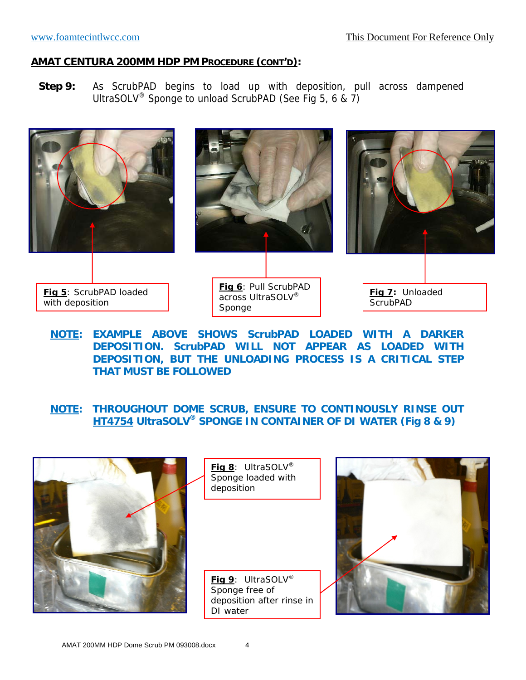#### www.foamtecintlwcc.com This Document For Reference Only

#### **AMAT CENTURA 200MM HDP PM PROCEDURE (CONT'D):**

**Step 9:** As ScrubPAD begins to load up with deposition, pull across dampened UltraSOLV® Sponge to unload ScrubPAD (See Fig 5, 6 & 7)



**NOTE: EXAMPLE ABOVE SHOWS ScrubPAD LOADED WITH A DARKER DEPOSITION. ScrubPAD WILL NOT APPEAR AS LOADED WITH DEPOSITION, BUT THE UNLOADING PROCESS IS A CRITICAL STEP THAT MUST BE FOLLOWED** 

**NOTE: THROUGHOUT DOME SCRUB, ENSURE TO CONTINOUSLY RINSE OUT HT4754 UltraSOLV® SPONGE IN CONTAINER OF DI WATER (Fig 8 & 9)** 

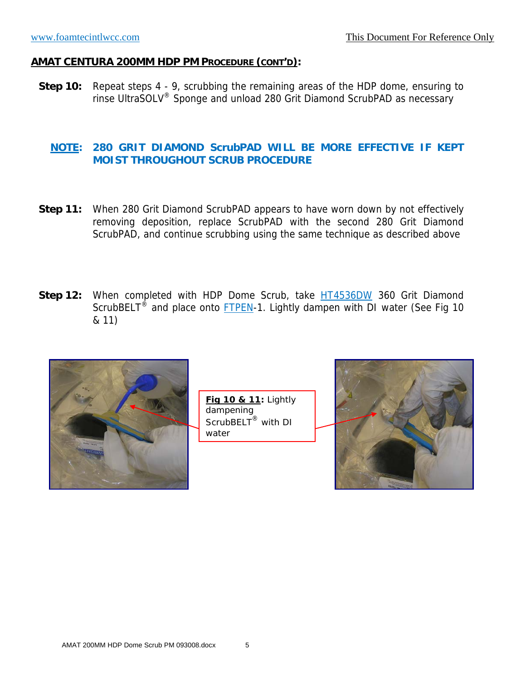**Step 10:** Repeat steps 4 - 9, scrubbing the remaining areas of the HDP dome, ensuring to rinse UltraSOLV® Sponge and unload 280 Grit Diamond ScrubPAD as necessary

#### **NOTE: 280 GRIT DIAMOND ScrubPAD WILL BE MORE EFFECTIVE IF KEPT MOIST THROUGHOUT SCRUB PROCEDURE**

- **Step 11:** When 280 Grit Diamond ScrubPAD appears to have worn down by not effectively removing deposition, replace ScrubPAD with the second 280 Grit Diamond ScrubPAD, and continue scrubbing using the same technique as described above
- Step 12: When completed with HDP Dome Scrub, take **HT4536DW** 360 Grit Diamond ScrubBELT<sup>®</sup> and place onto FTPEN-1. Lightly dampen with DI water (See Fig 10 & 11)



**Fig 10 & 11:** Lightly dampening ScrubBELT<sup>®</sup> with DI water

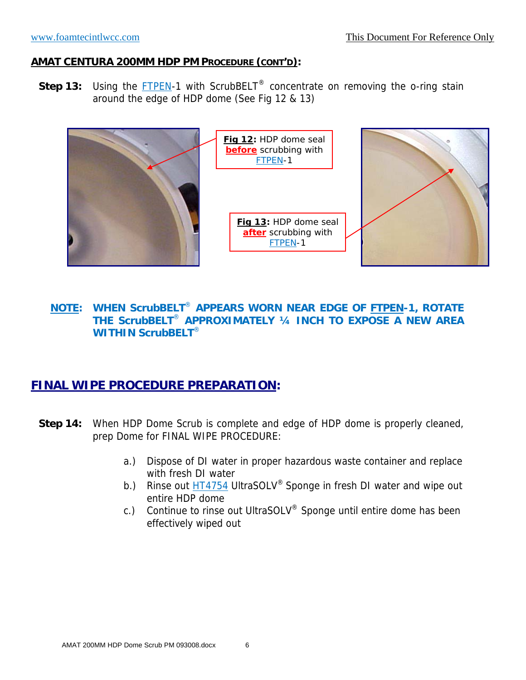**Step 13:** Using the **FTPEN-1** with ScrubBELT<sup>®</sup> concentrate on removing the o-ring stain around the edge of HDP dome (See Fig 12 & 13)



### **NOTE: WHEN ScrubBELT**® **APPEARS WORN NEAR EDGE OF FTPEN-1, ROTATE THE ScrubBELT**® **APPROXIMATELY ¼ INCH TO EXPOSE A NEW AREA WITHIN ScrubBELT**®

# **FINAL WIPE PROCEDURE PREPARATION:**

- **Step 14:** When HDP Dome Scrub is complete and edge of HDP dome is properly cleaned, prep Dome for FINAL WIPE PROCEDURE:
	- a.) Dispose of DI water in proper hazardous waste container and replace with fresh DI water
	- b.) Rinse out **HT4754** UltraSOLV<sup>®</sup> Sponge in fresh DI water and wipe out entire HDP dome
	- c.) Continue to rinse out UltraSOLV® Sponge until entire dome has been effectively wiped out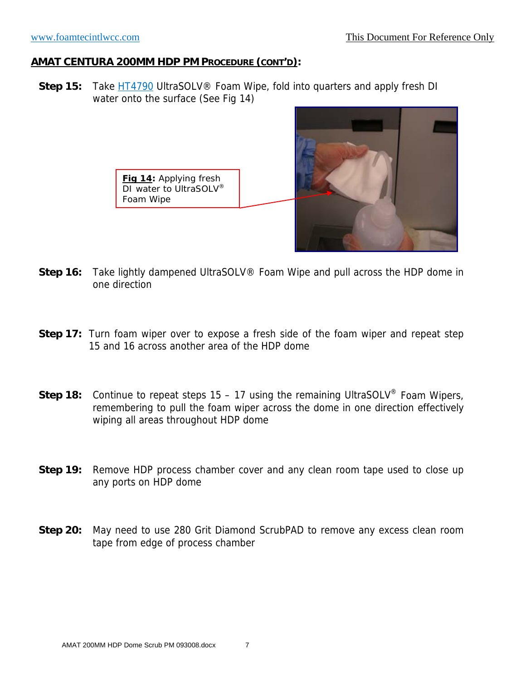**Step 15:** Take HT4790 UltraSOLV<sup>®</sup> Foam Wipe, fold into quarters and apply fresh DI water onto the surface (See Fig 14)





- **Step 16:** Take lightly dampened UltraSOLV® Foam Wipe and pull across the HDP dome in one direction
- **Step 17:** Turn foam wiper over to expose a fresh side of the foam wiper and repeat step 15 and 16 across another area of the HDP dome
- **Step 18:** Continue to repeat steps 15 17 using the remaining UltraSOLV<sup>®</sup> Foam Wipers, remembering to pull the foam wiper across the dome in one direction effectively wiping all areas throughout HDP dome
- **Step 19:** Remove HDP process chamber cover and any clean room tape used to close up any ports on HDP dome
- **Step 20:** May need to use 280 Grit Diamond ScrubPAD to remove any excess clean room tape from edge of process chamber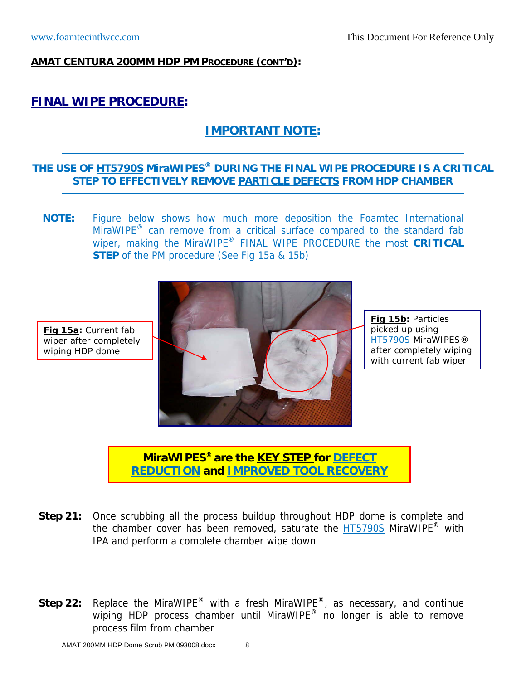**Fig 15a:** Current fab wiper after completely wiping HDP dome

#### **AMAT CENTURA 200MM HDP PM PROCEDURE (CONT'D):**

# **FINAL WIPE PROCEDURE:**

# **IMPORTANT NOTE:**

## **THE USE OF HT5790S MiraWIPES® DURING THE FINAL WIPE PROCEDURE IS A CRITICAL STEP TO EFFECTIVELY REMOVE PARTICLE DEFECTS FROM HDP CHAMBER**

**NOTE:** Figure below shows how much more deposition the Foamtec International MiraWIPE<sup>®</sup> can remove from a critical surface compared to the standard fab wiper, making the MiraWIPE® FINAL WIPE PROCEDURE the most **CRITICAL STEP** of the PM procedure (See Fig 15a & 15b)



**Fig 15b:** Particles picked up using HT5790S MiraWIPES® after completely wiping with current fab wiper

**MiraWIPES® are the KEY STEP for DEFECT REDUCTION and IMPROVED TOOL RECOVERY**

- **Step 21:** Once scrubbing all the process buildup throughout HDP dome is complete and the chamber cover has been removed, saturate the **HT5790S** MiraWIPE<sup>®</sup> with IPA and perform a complete chamber wipe down
- **Step 22:** Replace the MiraWIPE® with a fresh MiraWIPE®, as necessary, and continue wiping HDP process chamber until MiraWIPE<sup>®</sup> no longer is able to remove process film from chamber